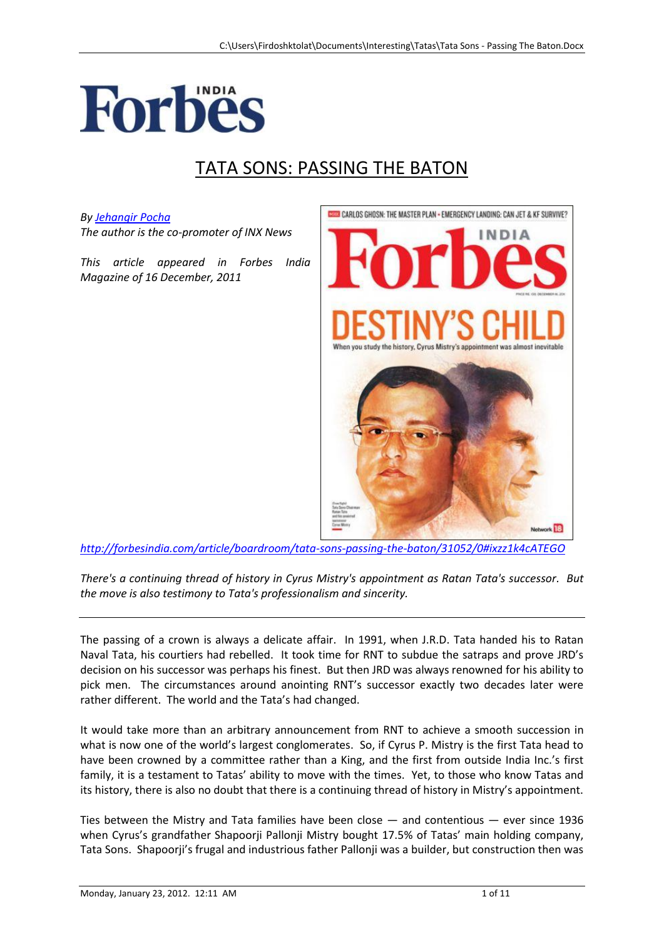

## TATA SONS: PASSING THE BATON

## *By [Jehangir Pocha](http://forbesindia.com/search.php?writer=Jehangir%20Pocha%20)*

*The author is the co-promoter of INX News*

*This article appeared in Forbes India Magazine of 16 December, 2011*



*<http://forbesindia.com/article/boardroom/tata-sons-passing-the-baton/31052/0#ixzz1k4cATEGO>*

*There's a continuing thread of history in Cyrus Mistry's appointment as Ratan Tata's successor. But the move is also testimony to Tata's professionalism and sincerity.*

The passing of a crown is always a delicate affair. In 1991, when J.R.D. Tata handed his to Ratan Naval Tata, his courtiers had rebelled. It took time for RNT to subdue the satraps and prove JRD's decision on his successor was perhaps his finest. But then JRD was always renowned for his ability to pick men. The circumstances around anointing RNT's successor exactly two decades later were rather different. The world and the Tata's had changed.

It would take more than an arbitrary announcement from RNT to achieve a smooth succession in what is now one of the world's largest conglomerates. So, if Cyrus P. Mistry is the first Tata head to have been crowned by a committee rather than a King, and the first from outside India Inc.'s first family, it is a testament to Tatas' ability to move with the times. Yet, to those who know Tatas and its history, there is also no doubt that there is a continuing thread of history in Mistry's appointment.

Ties between the Mistry and Tata families have been close — and contentious — ever since 1936 when Cyrus's grandfather Shapoorji Pallonji Mistry bought 17.5% of Tatas' main holding company, Tata Sons. Shapoorji's frugal and industrious father Pallonji was a builder, but construction then was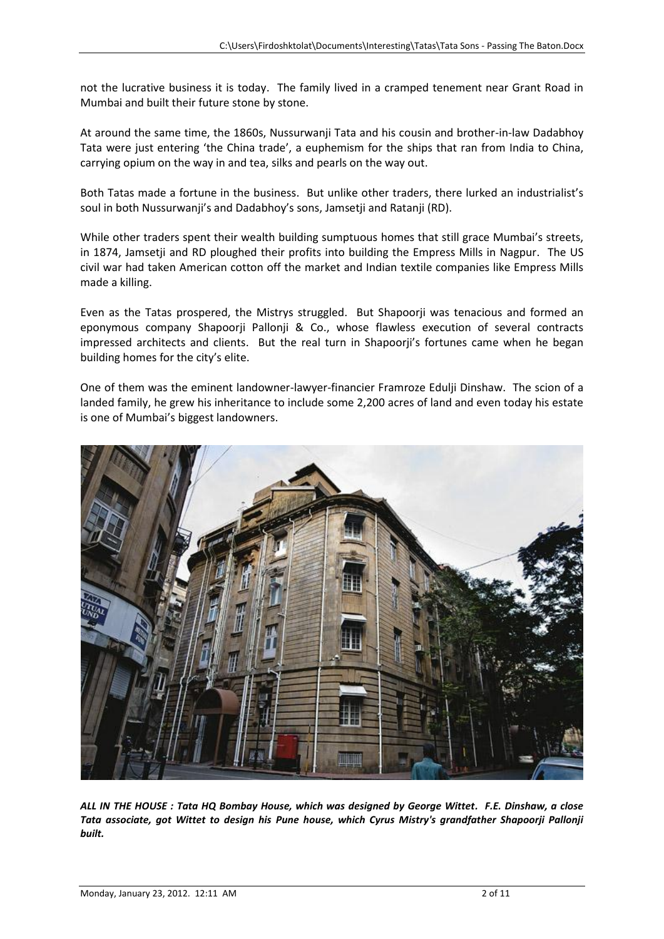not the lucrative business it is today. The family lived in a cramped tenement near Grant Road in Mumbai and built their future stone by stone.

At around the same time, the 1860s, Nussurwanji Tata and his cousin and brother-in-law Dadabhoy Tata were just entering 'the China trade', a euphemism for the ships that ran from India to China, carrying opium on the way in and tea, silks and pearls on the way out.

Both Tatas made a fortune in the business. But unlike other traders, there lurked an industrialist's soul in both Nussurwanji's and Dadabhoy's sons, Jamsetji and Ratanji (RD).

While other traders spent their wealth building sumptuous homes that still grace Mumbai's streets, in 1874, Jamsetji and RD ploughed their profits into building the Empress Mills in Nagpur. The US civil war had taken American cotton off the market and Indian textile companies like Empress Mills made a killing.

Even as the Tatas prospered, the Mistrys struggled. But Shapoorii was tenacious and formed an eponymous company Shapoorji Pallonji & Co., whose flawless execution of several contracts impressed architects and clients. But the real turn in Shapoorji's fortunes came when he began building homes for the city's elite.

One of them was the eminent landowner-lawyer-financier Framroze Edulji Dinshaw. The scion of a landed family, he grew his inheritance to include some 2,200 acres of land and even today his estate is one of Mumbai's biggest landowners.



*ALL IN THE HOUSE : Tata HQ Bombay House, which was designed by George Wittet. F.E. Dinshaw, a close Tata associate, got Wittet to design his Pune house, which Cyrus Mistry's grandfather Shapoorji Pallonji built.*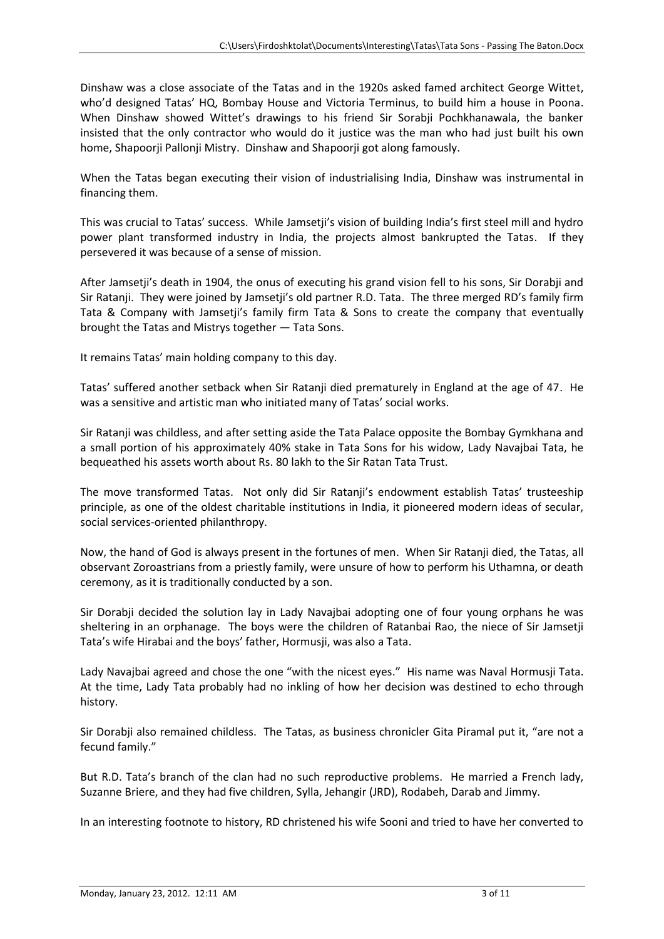Dinshaw was a close associate of the Tatas and in the 1920s asked famed architect George Wittet, who'd designed Tatas' HQ, Bombay House and Victoria Terminus, to build him a house in Poona. When Dinshaw showed Wittet's drawings to his friend Sir Sorabji Pochkhanawala, the banker insisted that the only contractor who would do it justice was the man who had just built his own home, Shapoorji Pallonji Mistry. Dinshaw and Shapoorji got along famously.

When the Tatas began executing their vision of industrialising India, Dinshaw was instrumental in financing them.

This was crucial to Tatas' success. While Jamsetji's vision of building India's first steel mill and hydro power plant transformed industry in India, the projects almost bankrupted the Tatas. If they persevered it was because of a sense of mission.

After Jamsetji's death in 1904, the onus of executing his grand vision fell to his sons, Sir Dorabji and Sir Ratanji. They were joined by Jamsetji's old partner R.D. Tata. The three merged RD's family firm Tata & Company with Jamsetji's family firm Tata & Sons to create the company that eventually brought the Tatas and Mistrys together — Tata Sons.

It remains Tatas' main holding company to this day.

Tatas' suffered another setback when Sir Ratanji died prematurely in England at the age of 47. He was a sensitive and artistic man who initiated many of Tatas' social works.

Sir Ratanji was childless, and after setting aside the Tata Palace opposite the Bombay Gymkhana and a small portion of his approximately 40% stake in Tata Sons for his widow, Lady Navajbai Tata, he bequeathed his assets worth about Rs. 80 lakh to the Sir Ratan Tata Trust.

The move transformed Tatas. Not only did Sir Ratanji's endowment establish Tatas' trusteeship principle, as one of the oldest charitable institutions in India, it pioneered modern ideas of secular, social services-oriented philanthropy.

Now, the hand of God is always present in the fortunes of men. When Sir Ratanji died, the Tatas, all observant Zoroastrians from a priestly family, were unsure of how to perform his Uthamna, or death ceremony, as it is traditionally conducted by a son.

Sir Dorabji decided the solution lay in Lady Navajbai adopting one of four young orphans he was sheltering in an orphanage. The boys were the children of Ratanbai Rao, the niece of Sir Jamsetji Tata's wife Hirabai and the boys' father, Hormusji, was also a Tata.

Lady Navajbai agreed and chose the one "with the nicest eyes." His name was Naval Hormusji Tata. At the time, Lady Tata probably had no inkling of how her decision was destined to echo through history.

Sir Dorabji also remained childless. The Tatas, as business chronicler Gita Piramal put it, "are not a fecund family."

But R.D. Tata's branch of the clan had no such reproductive problems. He married a French lady, Suzanne Briere, and they had five children, Sylla, Jehangir (JRD), Rodabeh, Darab and Jimmy.

In an interesting footnote to history, RD christened his wife Sooni and tried to have her converted to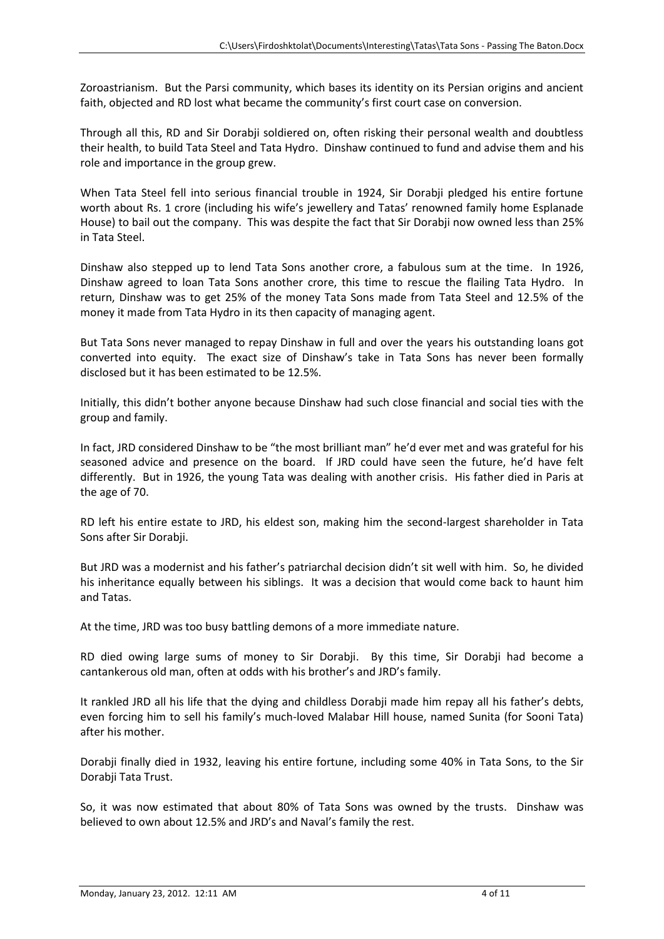Zoroastrianism. But the Parsi community, which bases its identity on its Persian origins and ancient faith, objected and RD lost what became the community's first court case on conversion.

Through all this, RD and Sir Dorabji soldiered on, often risking their personal wealth and doubtless their health, to build Tata Steel and Tata Hydro. Dinshaw continued to fund and advise them and his role and importance in the group grew.

When Tata Steel fell into serious financial trouble in 1924, Sir Dorabji pledged his entire fortune worth about Rs. 1 crore (including his wife's jewellery and Tatas' renowned family home Esplanade House) to bail out the company. This was despite the fact that Sir Dorabji now owned less than 25% in Tata Steel.

Dinshaw also stepped up to lend Tata Sons another crore, a fabulous sum at the time. In 1926, Dinshaw agreed to loan Tata Sons another crore, this time to rescue the flailing Tata Hydro. In return, Dinshaw was to get 25% of the money Tata Sons made from Tata Steel and 12.5% of the money it made from Tata Hydro in its then capacity of managing agent.

But Tata Sons never managed to repay Dinshaw in full and over the years his outstanding loans got converted into equity. The exact size of Dinshaw's take in Tata Sons has never been formally disclosed but it has been estimated to be 12.5%.

Initially, this didn't bother anyone because Dinshaw had such close financial and social ties with the group and family.

In fact, JRD considered Dinshaw to be "the most brilliant man" he'd ever met and was grateful for his seasoned advice and presence on the board. If JRD could have seen the future, he'd have felt differently. But in 1926, the young Tata was dealing with another crisis. His father died in Paris at the age of 70.

RD left his entire estate to JRD, his eldest son, making him the second-largest shareholder in Tata Sons after Sir Dorabji.

But JRD was a modernist and his father's patriarchal decision didn't sit well with him. So, he divided his inheritance equally between his siblings. It was a decision that would come back to haunt him and Tatas.

At the time, JRD was too busy battling demons of a more immediate nature.

RD died owing large sums of money to Sir Dorabji. By this time, Sir Dorabji had become a cantankerous old man, often at odds with his brother's and JRD's family.

It rankled JRD all his life that the dying and childless Dorabji made him repay all his father's debts, even forcing him to sell his family's much-loved Malabar Hill house, named Sunita (for Sooni Tata) after his mother.

Dorabji finally died in 1932, leaving his entire fortune, including some 40% in Tata Sons, to the Sir Dorabji Tata Trust.

So, it was now estimated that about 80% of Tata Sons was owned by the trusts. Dinshaw was believed to own about 12.5% and JRD's and Naval's family the rest.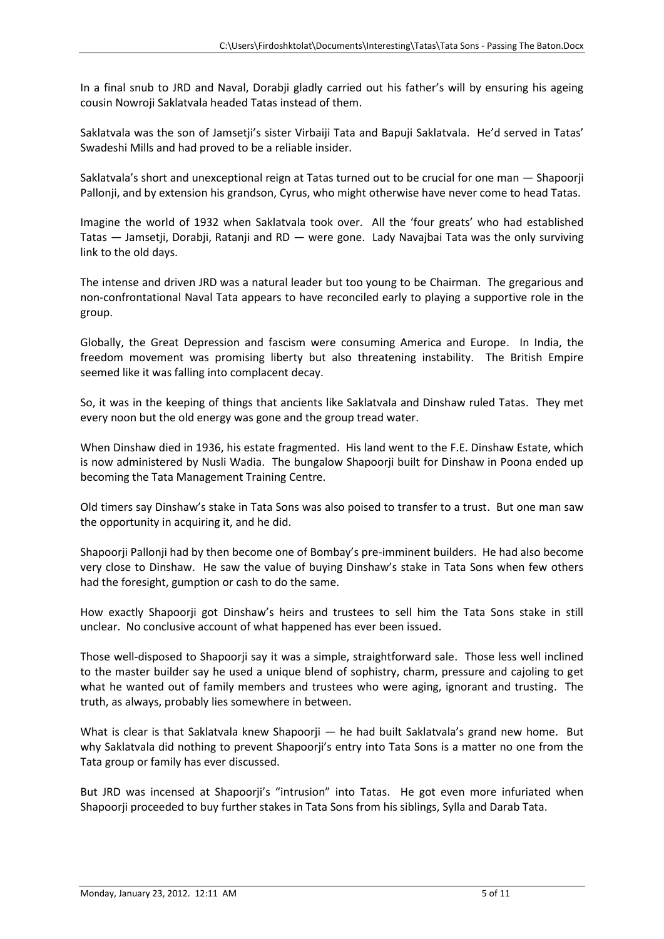In a final snub to JRD and Naval, Dorabji gladly carried out his father's will by ensuring his ageing cousin Nowroji Saklatvala headed Tatas instead of them.

Saklatvala was the son of Jamsetji's sister Virbaiji Tata and Bapuji Saklatvala. He'd served in Tatas' Swadeshi Mills and had proved to be a reliable insider.

Saklatvala's short and unexceptional reign at Tatas turned out to be crucial for one man — Shapoorji Pallonji, and by extension his grandson, Cyrus, who might otherwise have never come to head Tatas.

Imagine the world of 1932 when Saklatvala took over. All the 'four greats' who had established Tatas — Jamsetji, Dorabji, Ratanji and RD — were gone. Lady Navajbai Tata was the only surviving link to the old days.

The intense and driven JRD was a natural leader but too young to be Chairman. The gregarious and non-confrontational Naval Tata appears to have reconciled early to playing a supportive role in the group.

Globally, the Great Depression and fascism were consuming America and Europe. In India, the freedom movement was promising liberty but also threatening instability. The British Empire seemed like it was falling into complacent decay.

So, it was in the keeping of things that ancients like Saklatvala and Dinshaw ruled Tatas. They met every noon but the old energy was gone and the group tread water.

When Dinshaw died in 1936, his estate fragmented. His land went to the F.E. Dinshaw Estate, which is now administered by Nusli Wadia. The bungalow Shapoorji built for Dinshaw in Poona ended up becoming the Tata Management Training Centre.

Old timers say Dinshaw's stake in Tata Sons was also poised to transfer to a trust. But one man saw the opportunity in acquiring it, and he did.

Shapoorji Pallonji had by then become one of Bombay's pre-imminent builders. He had also become very close to Dinshaw. He saw the value of buying Dinshaw's stake in Tata Sons when few others had the foresight, gumption or cash to do the same.

How exactly Shapoorji got Dinshaw's heirs and trustees to sell him the Tata Sons stake in still unclear. No conclusive account of what happened has ever been issued.

Those well-disposed to Shapoorji say it was a simple, straightforward sale. Those less well inclined to the master builder say he used a unique blend of sophistry, charm, pressure and cajoling to get what he wanted out of family members and trustees who were aging, ignorant and trusting. The truth, as always, probably lies somewhere in between.

What is clear is that Saklatvala knew Shapoorji — he had built Saklatvala's grand new home. But why Saklatvala did nothing to prevent Shapoorji's entry into Tata Sons is a matter no one from the Tata group or family has ever discussed.

But JRD was incensed at Shapoorji's "intrusion" into Tatas. He got even more infuriated when Shapoorji proceeded to buy further stakes in Tata Sons from his siblings, Sylla and Darab Tata.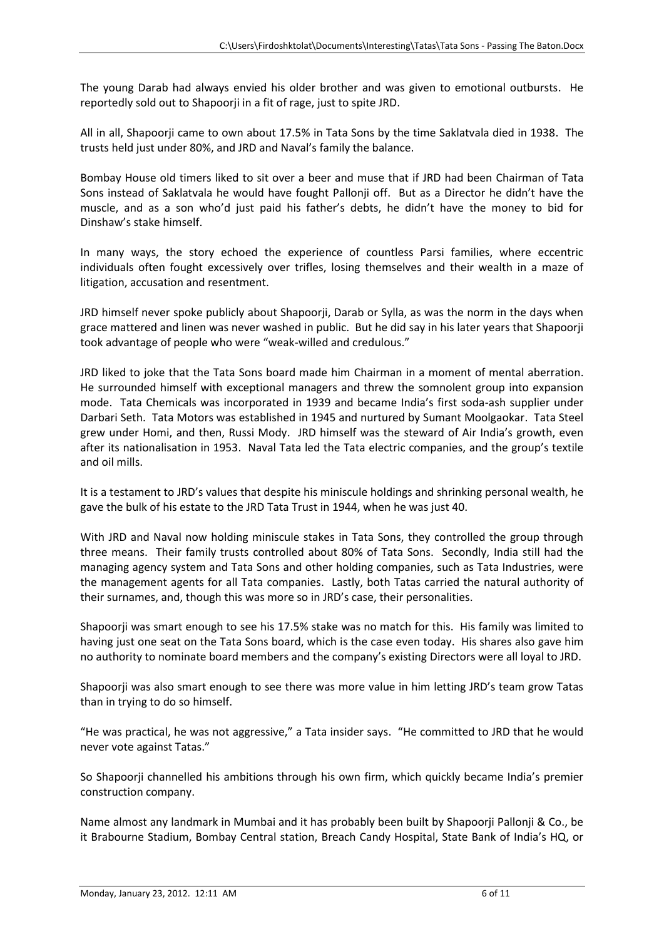The young Darab had always envied his older brother and was given to emotional outbursts. He reportedly sold out to Shapoorji in a fit of rage, just to spite JRD.

All in all, Shapoorji came to own about 17.5% in Tata Sons by the time Saklatvala died in 1938. The trusts held just under 80%, and JRD and Naval's family the balance.

Bombay House old timers liked to sit over a beer and muse that if JRD had been Chairman of Tata Sons instead of Saklatvala he would have fought Pallonji off. But as a Director he didn't have the muscle, and as a son who'd just paid his father's debts, he didn't have the money to bid for Dinshaw's stake himself.

In many ways, the story echoed the experience of countless Parsi families, where eccentric individuals often fought excessively over trifles, losing themselves and their wealth in a maze of litigation, accusation and resentment.

JRD himself never spoke publicly about Shapoorji, Darab or Sylla, as was the norm in the days when grace mattered and linen was never washed in public. But he did say in his later years that Shapoorji took advantage of people who were "weak-willed and credulous."

JRD liked to joke that the Tata Sons board made him Chairman in a moment of mental aberration. He surrounded himself with exceptional managers and threw the somnolent group into expansion mode. Tata Chemicals was incorporated in 1939 and became India's first soda-ash supplier under Darbari Seth. Tata Motors was established in 1945 and nurtured by Sumant Moolgaokar. Tata Steel grew under Homi, and then, Russi Mody. JRD himself was the steward of Air India's growth, even after its nationalisation in 1953. Naval Tata led the Tata electric companies, and the group's textile and oil mills.

It is a testament to JRD's values that despite his miniscule holdings and shrinking personal wealth, he gave the bulk of his estate to the JRD Tata Trust in 1944, when he was just 40.

With JRD and Naval now holding miniscule stakes in Tata Sons, they controlled the group through three means. Their family trusts controlled about 80% of Tata Sons. Secondly, India still had the managing agency system and Tata Sons and other holding companies, such as Tata Industries, were the management agents for all Tata companies. Lastly, both Tatas carried the natural authority of their surnames, and, though this was more so in JRD's case, their personalities.

Shapoorji was smart enough to see his 17.5% stake was no match for this. His family was limited to having just one seat on the Tata Sons board, which is the case even today. His shares also gave him no authority to nominate board members and the company's existing Directors were all loyal to JRD.

Shapoorji was also smart enough to see there was more value in him letting JRD's team grow Tatas than in trying to do so himself.

"He was practical, he was not aggressive," a Tata insider says. "He committed to JRD that he would never vote against Tatas."

So Shapoorji channelled his ambitions through his own firm, which quickly became India's premier construction company.

Name almost any landmark in Mumbai and it has probably been built by Shapoorji Pallonji & Co., be it Brabourne Stadium, Bombay Central station, Breach Candy Hospital, State Bank of India's HQ, or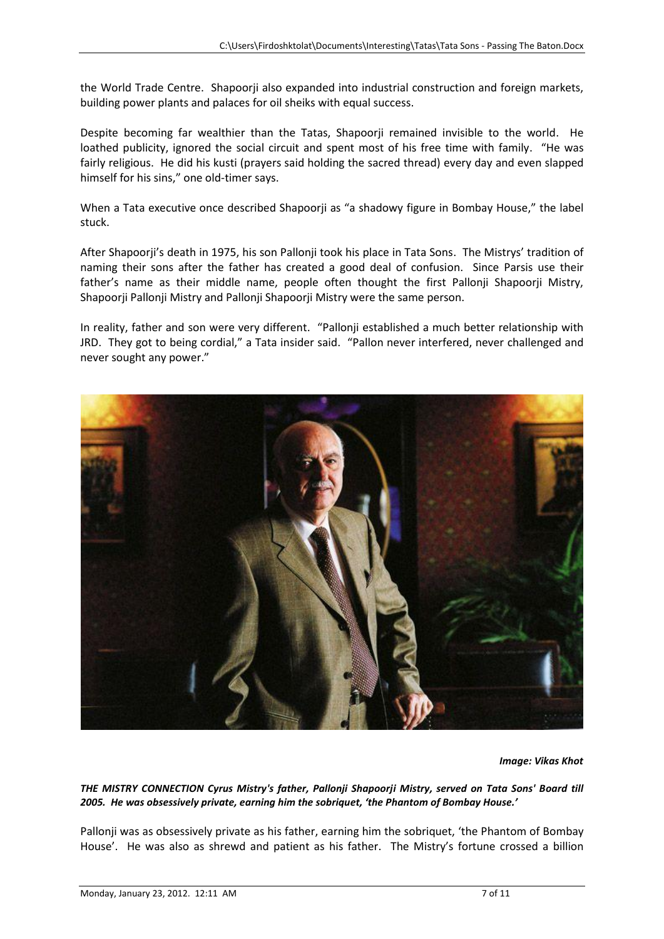the World Trade Centre. Shapoorji also expanded into industrial construction and foreign markets, building power plants and palaces for oil sheiks with equal success.

Despite becoming far wealthier than the Tatas, Shapoorji remained invisible to the world. He loathed publicity, ignored the social circuit and spent most of his free time with family. "He was fairly religious. He did his kusti (prayers said holding the sacred thread) every day and even slapped himself for his sins," one old-timer says.

When a Tata executive once described Shapoorji as "a shadowy figure in Bombay House," the label stuck.

After Shapoorji's death in 1975, his son Pallonji took his place in Tata Sons. The Mistrys' tradition of naming their sons after the father has created a good deal of confusion. Since Parsis use their father's name as their middle name, people often thought the first Pallonji Shapoorji Mistry, Shapoorji Pallonji Mistry and Pallonji Shapoorji Mistry were the same person.

In reality, father and son were very different. "Pallonji established a much better relationship with JRD. They got to being cordial," a Tata insider said. "Pallon never interfered, never challenged and never sought any power."



*Image: Vikas Khot*

*THE MISTRY CONNECTION Cyrus Mistry's father, Pallonji Shapoorji Mistry, served on Tata Sons' Board till 2005. He was obsessively private, earning him the sobriquet, 'the Phantom of Bombay House.'*

Pallonji was as obsessively private as his father, earning him the sobriquet, 'the Phantom of Bombay House'. He was also as shrewd and patient as his father. The Mistry's fortune crossed a billion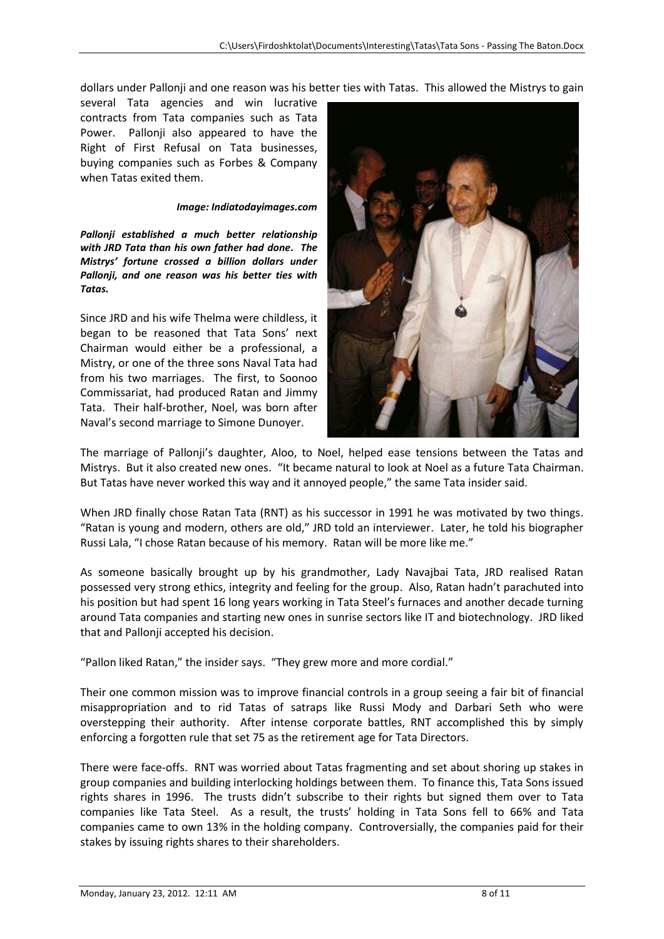dollars under Pallonji and one reason was his better ties with Tatas. This allowed the Mistrys to gain

several Tata agencies and win lucrative contracts from Tata companies such as Tata Power. Pallonji also appeared to have the Right of First Refusal on Tata businesses, buying companies such as Forbes & Company when Tatas exited them.

## *Image: Indiatodayimages.com*

*Pallonji established a much better relationship with JRD Tata than his own father had done. The Mistrys' fortune crossed a billion dollars under Pallonji, and one reason was his better ties with Tatas.*

Since JRD and his wife Thelma were childless, it began to be reasoned that Tata Sons' next Chairman would either be a professional, a Mistry, or one of the three sons Naval Tata had from his two marriages. The first, to Soonoo Commissariat, had produced Ratan and Jimmy Tata. Their half-brother, Noel, was born after Naval's second marriage to Simone Dunoyer.



The marriage of Pallonji's daughter, Aloo, to Noel, helped ease tensions between the Tatas and Mistrys. But it also created new ones. "It became natural to look at Noel as a future Tata Chairman. But Tatas have never worked this way and it annoyed people," the same Tata insider said.

When JRD finally chose Ratan Tata (RNT) as his successor in 1991 he was motivated by two things. "Ratan is young and modern, others are old," JRD told an interviewer. Later, he told his biographer Russi Lala, "I chose Ratan because of his memory. Ratan will be more like me."

As someone basically brought up by his grandmother, Lady Navajbai Tata, JRD realised Ratan possessed very strong ethics, integrity and feeling for the group. Also, Ratan hadn't parachuted into his position but had spent 16 long years working in Tata Steel's furnaces and another decade turning around Tata companies and starting new ones in sunrise sectors like IT and biotechnology. JRD liked that and Pallonji accepted his decision.

"Pallon liked Ratan," the insider says. "They grew more and more cordial."

Their one common mission was to improve financial controls in a group seeing a fair bit of financial misappropriation and to rid Tatas of satraps like Russi Mody and Darbari Seth who were overstepping their authority. After intense corporate battles, RNT accomplished this by simply enforcing a forgotten rule that set 75 as the retirement age for Tata Directors.

There were face-offs. RNT was worried about Tatas fragmenting and set about shoring up stakes in group companies and building interlocking holdings between them. To finance this, Tata Sons issued rights shares in 1996. The trusts didn't subscribe to their rights but signed them over to Tata companies like Tata Steel. As a result, the trusts' holding in Tata Sons fell to 66% and Tata companies came to own 13% in the holding company. Controversially, the companies paid for their stakes by issuing rights shares to their shareholders.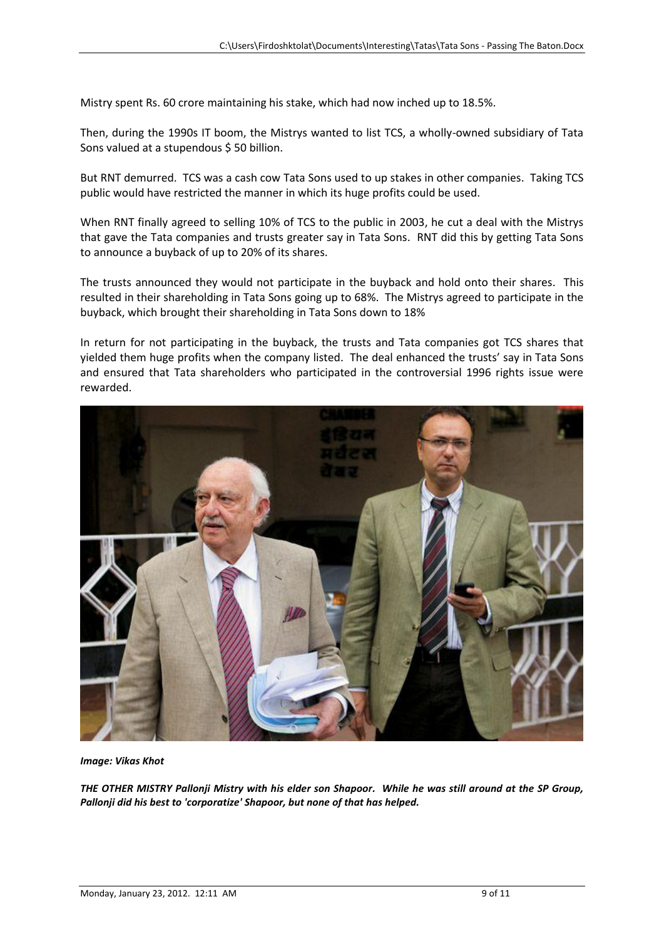Mistry spent Rs. 60 crore maintaining his stake, which had now inched up to 18.5%.

Then, during the 1990s IT boom, the Mistrys wanted to list TCS, a wholly-owned subsidiary of Tata Sons valued at a stupendous \$50 billion.

But RNT demurred. TCS was a cash cow Tata Sons used to up stakes in other companies. Taking TCS public would have restricted the manner in which its huge profits could be used.

When RNT finally agreed to selling 10% of TCS to the public in 2003, he cut a deal with the Mistrys that gave the Tata companies and trusts greater say in Tata Sons. RNT did this by getting Tata Sons to announce a buyback of up to 20% of its shares.

The trusts announced they would not participate in the buyback and hold onto their shares. This resulted in their shareholding in Tata Sons going up to 68%. The Mistrys agreed to participate in the buyback, which brought their shareholding in Tata Sons down to 18%

In return for not participating in the buyback, the trusts and Tata companies got TCS shares that yielded them huge profits when the company listed. The deal enhanced the trusts' say in Tata Sons and ensured that Tata shareholders who participated in the controversial 1996 rights issue were rewarded.



*Image: Vikas Khot*

*THE OTHER MISTRY Pallonji Mistry with his elder son Shapoor. While he was still around at the SP Group, Pallonji did his best to 'corporatize' Shapoor, but none of that has helped.*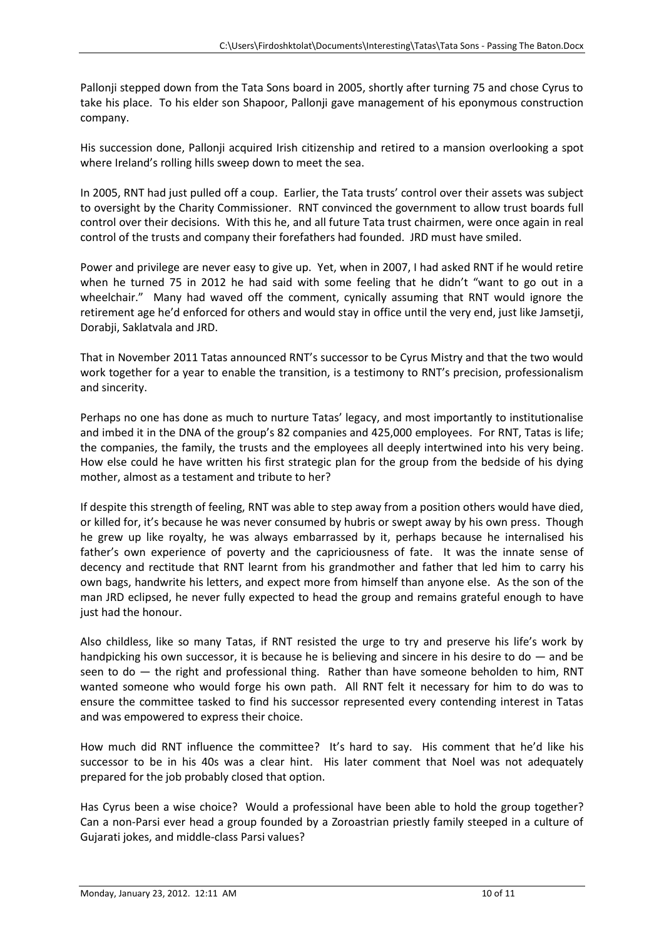Pallonji stepped down from the Tata Sons board in 2005, shortly after turning 75 and chose Cyrus to take his place. To his elder son Shapoor, Pallonji gave management of his eponymous construction company.

His succession done, Pallonji acquired Irish citizenship and retired to a mansion overlooking a spot where Ireland's rolling hills sweep down to meet the sea.

In 2005, RNT had just pulled off a coup. Earlier, the Tata trusts' control over their assets was subject to oversight by the Charity Commissioner. RNT convinced the government to allow trust boards full control over their decisions. With this he, and all future Tata trust chairmen, were once again in real control of the trusts and company their forefathers had founded. JRD must have smiled.

Power and privilege are never easy to give up. Yet, when in 2007, I had asked RNT if he would retire when he turned 75 in 2012 he had said with some feeling that he didn't "want to go out in a wheelchair." Many had waved off the comment, cynically assuming that RNT would ignore the retirement age he'd enforced for others and would stay in office until the very end, just like Jamsetji, Dorabii, Saklatvala and JRD.

That in November 2011 Tatas announced RNT's successor to be Cyrus Mistry and that the two would work together for a year to enable the transition, is a testimony to RNT's precision, professionalism and sincerity.

Perhaps no one has done as much to nurture Tatas' legacy, and most importantly to institutionalise and imbed it in the DNA of the group's 82 companies and 425,000 employees. For RNT, Tatas is life; the companies, the family, the trusts and the employees all deeply intertwined into his very being. How else could he have written his first strategic plan for the group from the bedside of his dying mother, almost as a testament and tribute to her?

If despite this strength of feeling, RNT was able to step away from a position others would have died, or killed for, it's because he was never consumed by hubris or swept away by his own press. Though he grew up like royalty, he was always embarrassed by it, perhaps because he internalised his father's own experience of poverty and the capriciousness of fate. It was the innate sense of decency and rectitude that RNT learnt from his grandmother and father that led him to carry his own bags, handwrite his letters, and expect more from himself than anyone else. As the son of the man JRD eclipsed, he never fully expected to head the group and remains grateful enough to have just had the honour.

Also childless, like so many Tatas, if RNT resisted the urge to try and preserve his life's work by handpicking his own successor, it is because he is believing and sincere in his desire to do  $-$  and be seen to  $do$  — the right and professional thing. Rather than have someone beholden to him, RNT wanted someone who would forge his own path. All RNT felt it necessary for him to do was to ensure the committee tasked to find his successor represented every contending interest in Tatas and was empowered to express their choice.

How much did RNT influence the committee? It's hard to say. His comment that he'd like his successor to be in his 40s was a clear hint. His later comment that Noel was not adequately prepared for the job probably closed that option.

Has Cyrus been a wise choice? Would a professional have been able to hold the group together? Can a non-Parsi ever head a group founded by a Zoroastrian priestly family steeped in a culture of Gujarati jokes, and middle-class Parsi values?